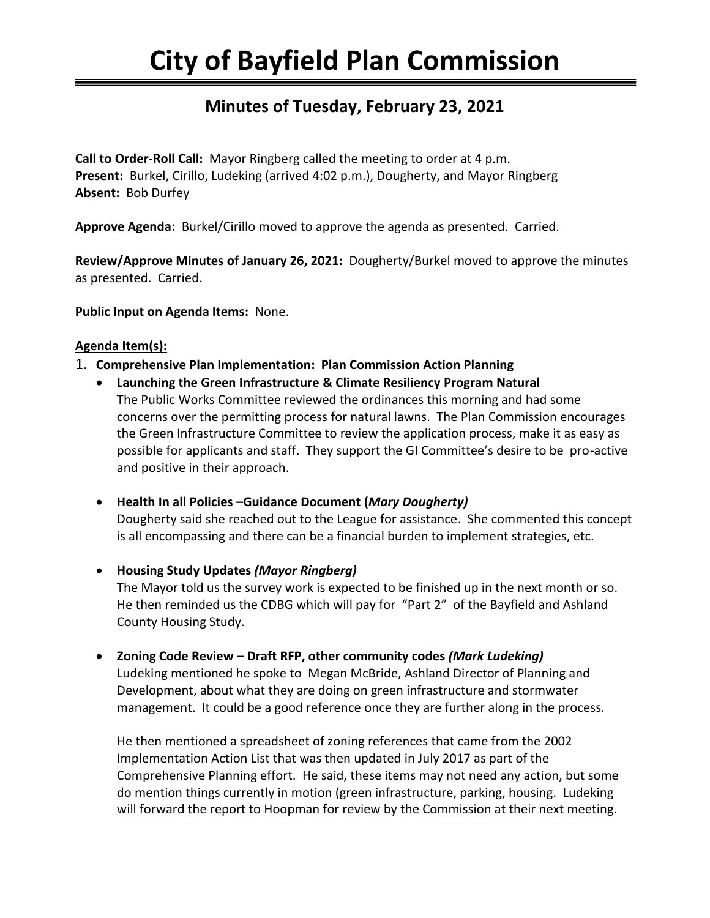# **City of Bayfield Plan Commission**

# **Minutes of Tuesday, February 23, 2021**

**Call to Order-Roll Call:** Mayor Ringberg called the meeting to order at 4 p.m. **Present:** Burkel, Cirillo, Ludeking (arrived 4:02 p.m.), Dougherty, and Mayor Ringberg **Absent:** Bob Durfey

**Approve Agenda:** Burkel/Cirillo moved to approve the agenda as presented. Carried.

**Review/Approve Minutes of January 26, 2021:** Dougherty/Burkel moved to approve the minutes as presented. Carried.

**Public Input on Agenda Items:** None.

#### **Agenda Item(s):**

- 1. **Comprehensive Plan Implementation: Plan Commission Action Planning**
	- **Launching the Green Infrastructure & Climate Resiliency Program Natural**  The Public Works Committee reviewed the ordinances this morning and had some concerns over the permitting process for natural lawns. The Plan Commission encourages the Green Infrastructure Committee to review the application process, make it as easy as possible for applicants and staff. They support the GI Committee's desire to be pro-active and positive in their approach.
	- **Health In all Policies –Guidance Document (***Mary Dougherty)* Dougherty said she reached out to the League for assistance. She commented this concept is all encompassing and there can be a financial burden to implement strategies, etc.
	- **Housing Study Updates** *(Mayor Ringberg)*  The Mayor told us the survey work is expected to be finished up in the next month or so. He then reminded us the CDBG which will pay for "Part 2" of the Bayfield and Ashland County Housing Study.
	- **Zoning Code Review – Draft RFP, other community codes** *(Mark Ludeking)* Ludeking mentioned he spoke to Megan McBride, Ashland Director of Planning and Development, about what they are doing on green infrastructure and stormwater management. It could be a good reference once they are further along in the process.

He then mentioned a spreadsheet of zoning references that came from the 2002 Implementation Action List that was then updated in July 2017 as part of the Comprehensive Planning effort. He said, these items may not need any action, but some do mention things currently in motion (green infrastructure, parking, housing. Ludeking will forward the report to Hoopman for review by the Commission at their next meeting.